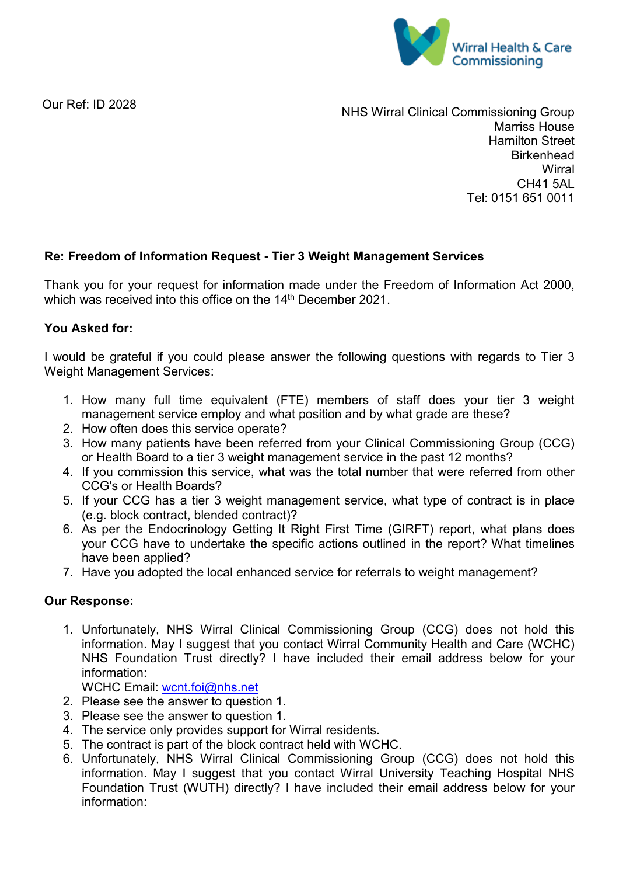

Our Ref: ID 2028

NHS Wirral Clinical Commissioning Group Marriss House Hamilton Street **Birkenhead Wirral** CH41 5AL Tel: 0151 651 0011

## **Re: Freedom of Information Request - Tier 3 Weight Management Services**

Thank you for your request for information made under the Freedom of Information Act 2000, which was received into this office on the 14<sup>th</sup> December 2021.

## **You Asked for:**

I would be grateful if you could please answer the following questions with regards to Tier 3 Weight Management Services:

- 1. How many full time equivalent (FTE) members of staff does your tier 3 weight management service employ and what position and by what grade are these?
- 2. How often does this service operate?
- 3. How many patients have been referred from your Clinical Commissioning Group (CCG) or Health Board to a tier 3 weight management service in the past 12 months?
- 4. If you commission this service, what was the total number that were referred from other CCG's or Health Boards?
- 5. If your CCG has a tier 3 weight management service, what type of contract is in place (e.g. block contract, blended contract)?
- 6. As per the Endocrinology Getting It Right First Time (GIRFT) report, what plans does your CCG have to undertake the specific actions outlined in the report? What timelines have been applied?
- 7. Have you adopted the local enhanced service for referrals to weight management?

## **Our Response:**

1. Unfortunately, NHS Wirral Clinical Commissioning Group (CCG) does not hold this information. May I suggest that you contact Wirral Community Health and Care (WCHC) NHS Foundation Trust directly? I have included their email address below for your information:

WCHC Email: [wcnt.foi@nhs.net](mailto:wcnt.foi@nhs.net)

- 2. Please see the answer to question 1.
- 3. Please see the answer to question 1.
- 4. The service only provides support for Wirral residents.
- 5. The contract is part of the block contract held with WCHC.
- 6. Unfortunately, NHS Wirral Clinical Commissioning Group (CCG) does not hold this information. May I suggest that you contact Wirral University Teaching Hospital NHS Foundation Trust (WUTH) directly? I have included their email address below for your information: